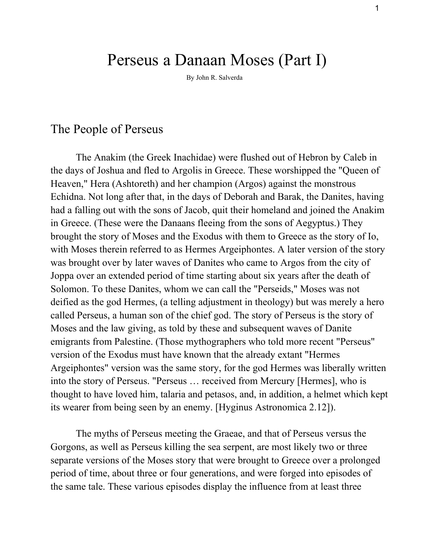# Perseus a Danaan Moses (Part I)

By John R. Salverda

#### The People of Perseus

The Anakim (the Greek Inachidae) were flushed out of Hebron by Caleb in the days of Joshua and fled to Argolis in Greece. These worshipped the "Queen of Heaven," Hera (Ashtoreth) and her champion (Argos) against the monstrous Echidna. Not long after that, in the days of Deborah and Barak, the Danites, having had a falling out with the sons of Jacob, quit their homeland and joined the Anakim in Greece. (These were the Danaans fleeing from the sons of Aegyptus.) They brought the story of Moses and the Exodus with them to Greece as the story of Io, with Moses therein referred to as Hermes Argeiphontes. A later version of the story was brought over by later waves of Danites who came to Argos from the city of Joppa over an extended period of time starting about six years after the death of Solomon. To these Danites, whom we can call the "Perseids," Moses was not deified as the god Hermes, (a telling adjustment in theology) but was merely a hero called Perseus, a human son of the chief god. The story of Perseus is the story of Moses and the law giving, as told by these and subsequent waves of Danite emigrants from Palestine. (Those mythographers who told more recent "Perseus" version of the Exodus must have known that the already extant "Hermes Argeiphontes" version was the same story, for the god Hermes was liberally written into the story of Perseus. "Perseus … received from Mercury [Hermes], who is thought to have loved him, talaria and petasos, and, in addition, a helmet which kept its wearer from being seen by an enemy. [Hyginus Astronomica 2.12]).

The myths of Perseus meeting the Graeae, and that of Perseus versus the Gorgons, as well as Perseus killing the sea serpent, are most likely two or three separate versions of the Moses story that were brought to Greece over a prolonged period of time, about three or four generations, and were forged into episodes of the same tale. These various episodes display the influence from at least three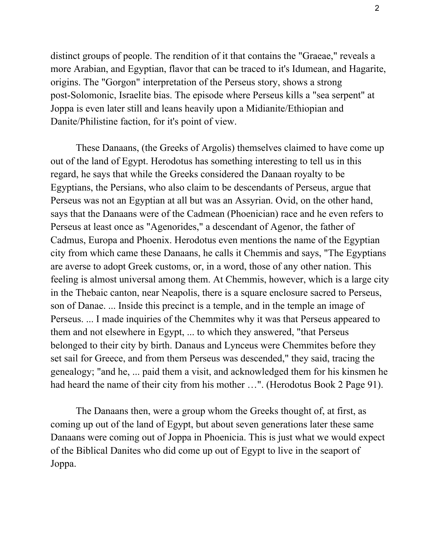distinct groups of people. The rendition of it that contains the "Graeae," reveals a more Arabian, and Egyptian, flavor that can be traced to it's Idumean, and Hagarite, origins. The "Gorgon" interpretation of the Perseus story, shows a strong post-Solomonic, Israelite bias. The episode where Perseus kills a "sea serpent" at Joppa is even later still and leans heavily upon a Midianite/Ethiopian and Danite/Philistine faction, for it's point of view.

These Danaans, (the Greeks of Argolis) themselves claimed to have come up out of the land of Egypt. Herodotus has something interesting to tell us in this regard, he says that while the Greeks considered the Danaan royalty to be Egyptians, the Persians, who also claim to be descendants of Perseus, argue that Perseus was not an Egyptian at all but was an Assyrian. Ovid, on the other hand, says that the Danaans were of the Cadmean (Phoenician) race and he even refers to Perseus at least once as "Agenorides," a descendant of Agenor, the father of Cadmus, Europa and Phoenix. Herodotus even mentions the name of the Egyptian city from which came these Danaans, he calls it Chemmis and says, "The Egyptians are averse to adopt Greek customs, or, in a word, those of any other nation. This feeling is almost universal among them. At Chemmis, however, which is a large city in the Thebaic canton, near Neapolis, there is a square enclosure sacred to Perseus, son of Danae. ... Inside this precinct is a temple, and in the temple an image of Perseus. ... I made inquiries of the Chemmites why it was that Perseus appeared to them and not elsewhere in Egypt, ... to which they answered, "that Perseus belonged to their city by birth. Danaus and Lynceus were Chemmites before they set sail for Greece, and from them Perseus was descended," they said, tracing the genealogy; "and he, ... paid them a visit, and acknowledged them for his kinsmen he had heard the name of their city from his mother …". (Herodotus Book 2 Page 91).

The Danaans then, were a group whom the Greeks thought of, at first, as coming up out of the land of Egypt, but about seven generations later these same Danaans were coming out of Joppa in Phoenicia. This is just what we would expect of the Biblical Danites who did come up out of Egypt to live in the seaport of Joppa.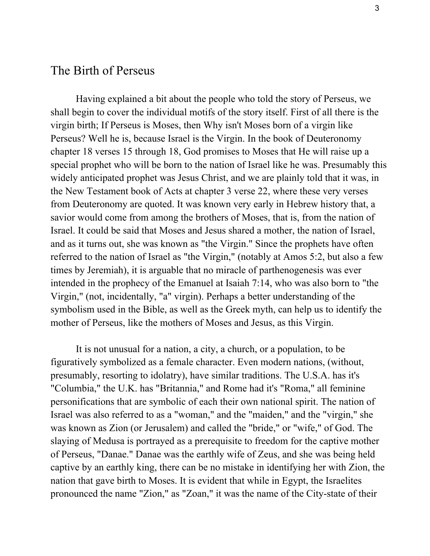### The Birth of Perseus

Having explained a bit about the people who told the story of Perseus, we shall begin to cover the individual motifs of the story itself. First of all there is the virgin birth; If Perseus is Moses, then Why isn't Moses born of a virgin like Perseus? Well he is, because Israel is the Virgin. In the book of Deuteronomy chapter 18 verses 15 through 18, God promises to Moses that He will raise up a special prophet who will be born to the nation of Israel like he was. Presumably this widely anticipated prophet was Jesus Christ, and we are plainly told that it was, in the New Testament book of Acts at chapter 3 verse 22, where these very verses from Deuteronomy are quoted. It was known very early in Hebrew history that, a savior would come from among the brothers of Moses, that is, from the nation of Israel. It could be said that Moses and Jesus shared a mother, the nation of Israel, and as it turns out, she was known as "the Virgin." Since the prophets have often referred to the nation of Israel as "the Virgin," (notably at Amos 5:2, but also a few times by Jeremiah), it is arguable that no miracle of parthenogenesis was ever intended in the prophecy of the Emanuel at Isaiah 7:14, who was also born to "the Virgin," (not, incidentally, "a" virgin). Perhaps a better understanding of the symbolism used in the Bible, as well as the Greek myth, can help us to identify the mother of Perseus, like the mothers of Moses and Jesus, as this Virgin.

It is not unusual for a nation, a city, a church, or a population, to be figuratively symbolized as a female character. Even modern nations, (without, presumably, resorting to idolatry), have similar traditions. The U.S.A. has it's "Columbia," the U.K. has "Britannia," and Rome had it's "Roma," all feminine personifications that are symbolic of each their own national spirit. The nation of Israel was also referred to as a "woman," and the "maiden," and the "virgin," she was known as Zion (or Jerusalem) and called the "bride," or "wife," of God. The slaying of Medusa is portrayed as a prerequisite to freedom for the captive mother of Perseus, "Danae." Danae was the earthly wife of Zeus, and she was being held captive by an earthly king, there can be no mistake in identifying her with Zion, the nation that gave birth to Moses. It is evident that while in Egypt, the Israelites pronounced the name "Zion," as "Zoan," it was the name of the City-state of their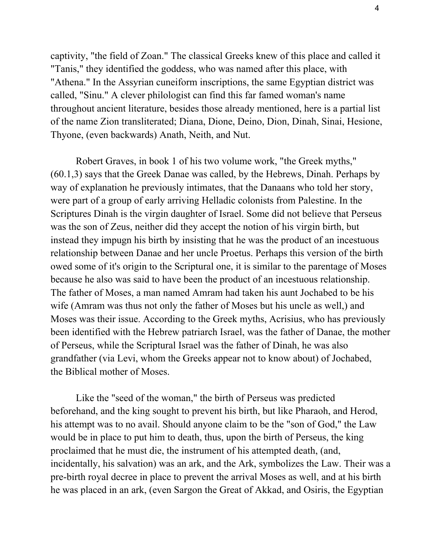captivity, "the field of Zoan." The classical Greeks knew of this place and called it "Tanis," they identified the goddess, who was named after this place, with "Athena." In the Assyrian cuneiform inscriptions, the same Egyptian district was called, "Sinu." A clever philologist can find this far famed woman's name throughout ancient literature, besides those already mentioned, here is a partial list of the name Zion transliterated; Diana, Dione, Deino, Dion, Dinah, Sinai, Hesione, Thyone, (even backwards) Anath, Neith, and Nut.

Robert Graves, in book 1 of his two volume work, "the Greek myths," (60.1,3) says that the Greek Danae was called, by the Hebrews, Dinah. Perhaps by way of explanation he previously intimates, that the Danaans who told her story, were part of a group of early arriving Helladic colonists from Palestine. In the Scriptures Dinah is the virgin daughter of Israel. Some did not believe that Perseus was the son of Zeus, neither did they accept the notion of his virgin birth, but instead they impugn his birth by insisting that he was the product of an incestuous relationship between Danae and her uncle Proetus. Perhaps this version of the birth owed some of it's origin to the Scriptural one, it is similar to the parentage of Moses because he also was said to have been the product of an incestuous relationship. The father of Moses, a man named Amram had taken his aunt Jochabed to be his wife (Amram was thus not only the father of Moses but his uncle as well,) and Moses was their issue. According to the Greek myths, Acrisius, who has previously been identified with the Hebrew patriarch Israel, was the father of Danae, the mother of Perseus, while the Scriptural Israel was the father of Dinah, he was also grandfather (via Levi, whom the Greeks appear not to know about) of Jochabed, the Biblical mother of Moses.

Like the "seed of the woman," the birth of Perseus was predicted beforehand, and the king sought to prevent his birth, but like Pharaoh, and Herod, his attempt was to no avail. Should anyone claim to be the "son of God," the Law would be in place to put him to death, thus, upon the birth of Perseus, the king proclaimed that he must die, the instrument of his attempted death, (and, incidentally, his salvation) was an ark, and the Ark, symbolizes the Law. Their was a pre-birth royal decree in place to prevent the arrival Moses as well, and at his birth he was placed in an ark, (even Sargon the Great of Akkad, and Osiris, the Egyptian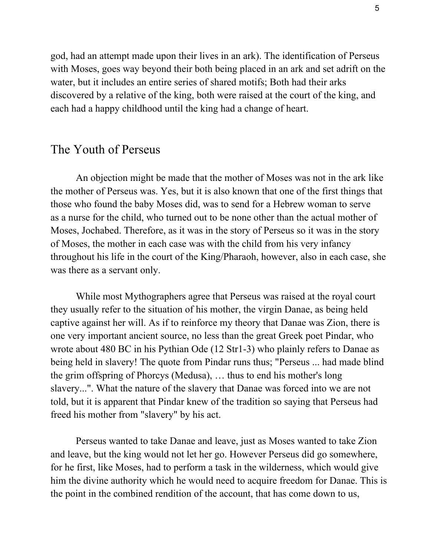god, had an attempt made upon their lives in an ark). The identification of Perseus with Moses, goes way beyond their both being placed in an ark and set adrift on the water, but it includes an entire series of shared motifs; Both had their arks discovered by a relative of the king, both were raised at the court of the king, and each had a happy childhood until the king had a change of heart.

## The Youth of Perseus

An objection might be made that the mother of Moses was not in the ark like the mother of Perseus was. Yes, but it is also known that one of the first things that those who found the baby Moses did, was to send for a Hebrew woman to serve as a nurse for the child, who turned out to be none other than the actual mother of Moses, Jochabed. Therefore, as it was in the story of Perseus so it was in the story of Moses, the mother in each case was with the child from his very infancy throughout his life in the court of the King/Pharaoh, however, also in each case, she was there as a servant only.

While most Mythographers agree that Perseus was raised at the royal court they usually refer to the situation of his mother, the virgin Danae, as being held captive against her will. As if to reinforce my theory that Danae was Zion, there is one very important ancient source, no less than the great Greek poet Pindar, who wrote about 480 BC in his Pythian Ode (12 Str1-3) who plainly refers to Danae as being held in slavery! The quote from Pindar runs thus; "Perseus ... had made blind the grim offspring of Phorcys (Medusa), … thus to end his mother's long slavery...". What the nature of the slavery that Danae was forced into we are not told, but it is apparent that Pindar knew of the tradition so saying that Perseus had freed his mother from "slavery" by his act.

Perseus wanted to take Danae and leave, just as Moses wanted to take Zion and leave, but the king would not let her go. However Perseus did go somewhere, for he first, like Moses, had to perform a task in the wilderness, which would give him the divine authority which he would need to acquire freedom for Danae. This is the point in the combined rendition of the account, that has come down to us,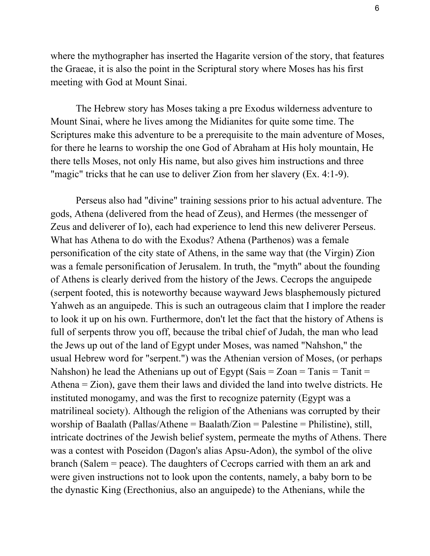where the mythographer has inserted the Hagarite version of the story, that features the Graeae, it is also the point in the Scriptural story where Moses has his first meeting with God at Mount Sinai.

The Hebrew story has Moses taking a pre Exodus wilderness adventure to Mount Sinai, where he lives among the Midianites for quite some time. The Scriptures make this adventure to be a prerequisite to the main adventure of Moses, for there he learns to worship the one God of Abraham at His holy mountain, He there tells Moses, not only His name, but also gives him instructions and three "magic" tricks that he can use to deliver Zion from her slavery (Ex. 4:19).

Perseus also had "divine" training sessions prior to his actual adventure. The gods, Athena (delivered from the head of Zeus), and Hermes (the messenger of Zeus and deliverer of Io), each had experience to lend this new deliverer Perseus. What has Athena to do with the Exodus? Athena (Parthenos) was a female personification of the city state of Athens, in the same way that (the Virgin) Zion was a female personification of Jerusalem. In truth, the "myth" about the founding of Athens is clearly derived from the history of the Jews. Cecrops the anguipede (serpent footed, this is noteworthy because wayward Jews blasphemously pictured Yahweh as an anguipede. This is such an outrageous claim that I implore the reader to look it up on his own. Furthermore, don't let the fact that the history of Athens is full of serpents throw you off, because the tribal chief of Judah, the man who lead the Jews up out of the land of Egypt under Moses, was named "Nahshon," the usual Hebrew word for "serpent.") was the Athenian version of Moses, (or perhaps Nahshon) he lead the Athenians up out of Egypt (Sais =  $Zoan = Tanis = Tanit$ Athena = Zion), gave them their laws and divided the land into twelve districts. He instituted monogamy, and was the first to recognize paternity (Egypt was a matrilineal society). Although the religion of the Athenians was corrupted by their worship of Baalath (Pallas/Athene = Baalath/Zion = Palestine = Philistine), still, intricate doctrines of the Jewish belief system, permeate the myths of Athens. There was a contest with Poseidon (Dagon's alias Apsu-Adon), the symbol of the olive branch (Salem = peace). The daughters of Cecrops carried with them an ark and were given instructions not to look upon the contents, namely, a baby born to be the dynastic King (Erecthonius, also an anguipede) to the Athenians, while the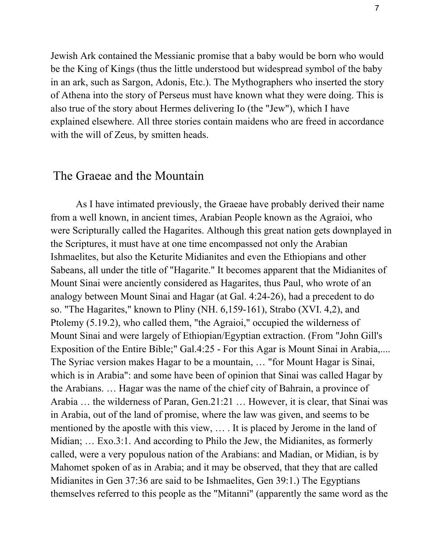Jewish Ark contained the Messianic promise that a baby would be born who would be the King of Kings (thus the little understood but widespread symbol of the baby in an ark, such as Sargon, Adonis, Etc.). The Mythographers who inserted the story of Athena into the story of Perseus must have known what they were doing. This is also true of the story about Hermes delivering Io (the "Jew"), which I have explained elsewhere. All three stories contain maidens who are freed in accordance with the will of Zeus, by smitten heads.

#### The Graeae and the Mountain

As I have intimated previously, the Graeae have probably derived their name from a well known, in ancient times, Arabian People known as the Agraioi, who were Scripturally called the Hagarites. Although this great nation gets downplayed in the Scriptures, it must have at one time encompassed not only the Arabian Ishmaelites, but also the Keturite Midianites and even the Ethiopians and other Sabeans, all under the title of "Hagarite." It becomes apparent that the Midianites of Mount Sinai were anciently considered as Hagarites, thus Paul, who wrote of an analogy between Mount Sinai and Hagar (at Gal. 4:2426), had a precedent to do so. "The Hagarites," known to Pliny (NH.  $6,159-161$ ), Strabo (XVI. 4,2), and Ptolemy (5.19.2), who called them, "the Agraioi," occupied the wilderness of Mount Sinai and were largely of Ethiopian/Egyptian extraction. (From "John Gill's Exposition of the Entire Bible;" Gal.4:25 - For this Agar is Mount Sinai in Arabia,.... The Syriac version makes Hagar to be a mountain, … "for Mount Hagar is Sinai, which is in Arabia": and some have been of opinion that Sinai was called Hagar by the Arabians. … Hagar was the name of the chief city of Bahrain, a province of Arabia … the wilderness of Paran, Gen.21:21 … However, it is clear, that Sinai was in Arabia, out of the land of promise, where the law was given, and seems to be mentioned by the apostle with this view, … . It is placed by Jerome in the land of Midian; … Exo.3:1. And according to Philo the Jew, the Midianites, as formerly called, were a very populous nation of the Arabians: and Madian, or Midian, is by Mahomet spoken of as in Arabia; and it may be observed, that they that are called Midianites in Gen 37:36 are said to be Ishmaelites, Gen 39:1.) The Egyptians themselves referred to this people as the "Mitanni" (apparently the same word as the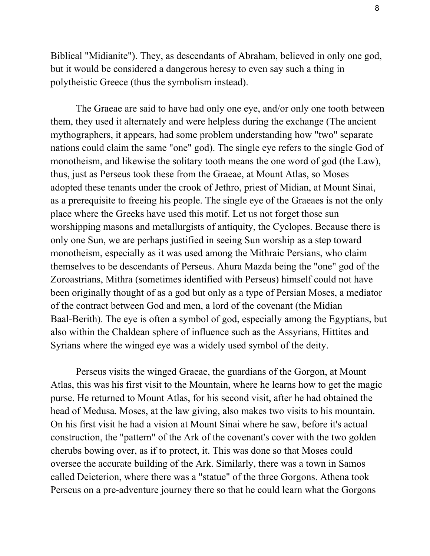Biblical "Midianite"). They, as descendants of Abraham, believed in only one god, but it would be considered a dangerous heresy to even say such a thing in polytheistic Greece (thus the symbolism instead).

The Graeae are said to have had only one eye, and/or only one tooth between them, they used it alternately and were helpless during the exchange (The ancient mythographers, it appears, had some problem understanding how "two" separate nations could claim the same "one" god). The single eye refers to the single God of monotheism, and likewise the solitary tooth means the one word of god (the Law), thus, just as Perseus took these from the Graeae, at Mount Atlas, so Moses adopted these tenants under the crook of Jethro, priest of Midian, at Mount Sinai, as a prerequisite to freeing his people. The single eye of the Graeaes is not the only place where the Greeks have used this motif. Let us not forget those sun worshipping masons and metallurgists of antiquity, the Cyclopes. Because there is only one Sun, we are perhaps justified in seeing Sun worship as a step toward monotheism, especially as it was used among the Mithraic Persians, who claim themselves to be descendants of Perseus. Ahura Mazda being the "one" god of the Zoroastrians, Mithra (sometimes identified with Perseus) himself could not have been originally thought of as a god but only as a type of Persian Moses, a mediator of the contract between God and men, a lord of the covenant (the Midian Baal-Berith). The eye is often a symbol of god, especially among the Egyptians, but also within the Chaldean sphere of influence such as the Assyrians, Hittites and Syrians where the winged eye was a widely used symbol of the deity.

Perseus visits the winged Graeae, the guardians of the Gorgon, at Mount Atlas, this was his first visit to the Mountain, where he learns how to get the magic purse. He returned to Mount Atlas, for his second visit, after he had obtained the head of Medusa. Moses, at the law giving, also makes two visits to his mountain. On his first visit he had a vision at Mount Sinai where he saw, before it's actual construction, the "pattern" of the Ark of the covenant's cover with the two golden cherubs bowing over, as if to protect, it. This was done so that Moses could oversee the accurate building of the Ark. Similarly, there was a town in Samos called Deicterion, where there was a "statue" of the three Gorgons. Athena took Perseus on a pre-adventure journey there so that he could learn what the Gorgons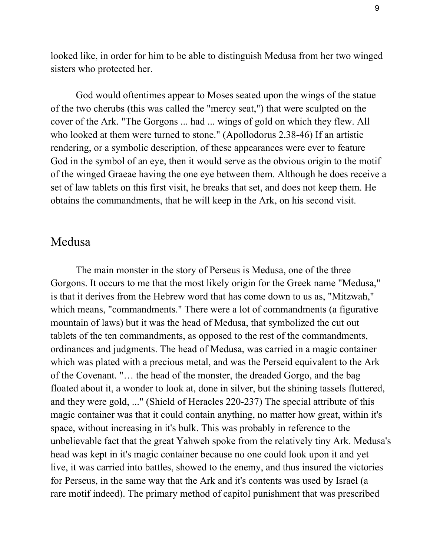looked like, in order for him to be able to distinguish Medusa from her two winged sisters who protected her.

God would oftentimes appear to Moses seated upon the wings of the statue of the two cherubs (this was called the "mercy seat,") that were sculpted on the cover of the Ark. "The Gorgons ... had ... wings of gold on which they flew. All who looked at them were turned to stone." (Apollodorus 2.38-46) If an artistic rendering, or a symbolic description, of these appearances were ever to feature God in the symbol of an eye, then it would serve as the obvious origin to the motif of the winged Graeae having the one eye between them. Although he does receive a set of law tablets on this first visit, he breaks that set, and does not keep them. He obtains the commandments, that he will keep in the Ark, on his second visit.

## Medusa

The main monster in the story of Perseus is Medusa, one of the three Gorgons. It occurs to me that the most likely origin for the Greek name "Medusa," is that it derives from the Hebrew word that has come down to us as, "Mitzwah," which means, "commandments." There were a lot of commandments (a figurative mountain of laws) but it was the head of Medusa, that symbolized the cut out tablets of the ten commandments, as opposed to the rest of the commandments, ordinances and judgments. The head of Medusa, was carried in a magic container which was plated with a precious metal, and was the Perseid equivalent to the Ark of the Covenant. "… the head of the monster, the dreaded Gorgo, and the bag floated about it, a wonder to look at, done in silver, but the shining tassels fluttered, and they were gold, ..." (Shield of Heracles 220-237) The special attribute of this magic container was that it could contain anything, no matter how great, within it's space, without increasing in it's bulk. This was probably in reference to the unbelievable fact that the great Yahweh spoke from the relatively tiny Ark. Medusa's head was kept in it's magic container because no one could look upon it and yet live, it was carried into battles, showed to the enemy, and thus insured the victories for Perseus, in the same way that the Ark and it's contents was used by Israel (a rare motif indeed). The primary method of capitol punishment that was prescribed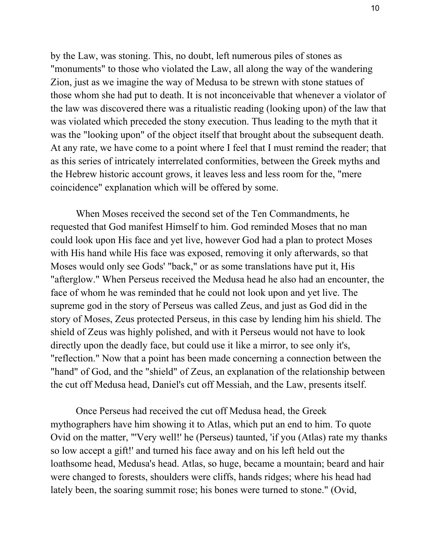by the Law, was stoning. This, no doubt, left numerous piles of stones as "monuments" to those who violated the Law, all along the way of the wandering Zion, just as we imagine the way of Medusa to be strewn with stone statues of those whom she had put to death. It is not inconceivable that whenever a violator of the law was discovered there was a ritualistic reading (looking upon) of the law that was violated which preceded the stony execution. Thus leading to the myth that it was the "looking upon" of the object itself that brought about the subsequent death. At any rate, we have come to a point where I feel that I must remind the reader; that as this series of intricately interrelated conformities, between the Greek myths and the Hebrew historic account grows, it leaves less and less room for the, "mere coincidence" explanation which will be offered by some.

When Moses received the second set of the Ten Commandments, he requested that God manifest Himself to him. God reminded Moses that no man could look upon His face and yet live, however God had a plan to protect Moses with His hand while His face was exposed, removing it only afterwards, so that Moses would only see Gods' "back," or as some translations have put it, His "afterglow." When Perseus received the Medusa head he also had an encounter, the face of whom he was reminded that he could not look upon and yet live. The supreme god in the story of Perseus was called Zeus, and just as God did in the story of Moses, Zeus protected Perseus, in this case by lending him his shield. The shield of Zeus was highly polished, and with it Perseus would not have to look directly upon the deadly face, but could use it like a mirror, to see only it's, "reflection." Now that a point has been made concerning a connection between the "hand" of God, and the "shield" of Zeus, an explanation of the relationship between the cut off Medusa head, Daniel's cut off Messiah, and the Law, presents itself.

Once Perseus had received the cut off Medusa head, the Greek mythographers have him showing it to Atlas, which put an end to him. To quote Ovid on the matter, "'Very well!' he (Perseus) taunted, 'if you (Atlas) rate my thanks so low accept a gift!' and turned his face away and on his left held out the loathsome head, Medusa's head. Atlas, so huge, became a mountain; beard and hair were changed to forests, shoulders were cliffs, hands ridges; where his head had lately been, the soaring summit rose; his bones were turned to stone." (Ovid,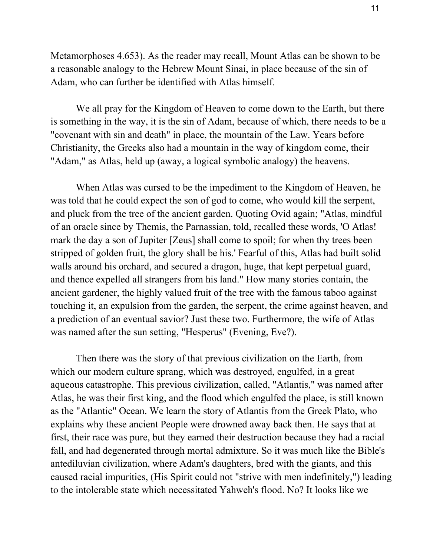Metamorphoses 4.653). As the reader may recall, Mount Atlas can be shown to be a reasonable analogy to the Hebrew Mount Sinai, in place because of the sin of Adam, who can further be identified with Atlas himself.

We all pray for the Kingdom of Heaven to come down to the Earth, but there is something in the way, it is the sin of Adam, because of which, there needs to be a "covenant with sin and death" in place, the mountain of the Law. Years before Christianity, the Greeks also had a mountain in the way of kingdom come, their "Adam," as Atlas, held up (away, a logical symbolic analogy) the heavens.

When Atlas was cursed to be the impediment to the Kingdom of Heaven, he was told that he could expect the son of god to come, who would kill the serpent, and pluck from the tree of the ancient garden. Quoting Ovid again; "Atlas, mindful of an oracle since by Themis, the Parnassian, told, recalled these words, 'O Atlas! mark the day a son of Jupiter [Zeus] shall come to spoil; for when thy trees been stripped of golden fruit, the glory shall be his.' Fearful of this, Atlas had built solid walls around his orchard, and secured a dragon, huge, that kept perpetual guard, and thence expelled all strangers from his land." How many stories contain, the ancient gardener, the highly valued fruit of the tree with the famous taboo against touching it, an expulsion from the garden, the serpent, the crime against heaven, and a prediction of an eventual savior? Just these two. Furthermore, the wife of Atlas was named after the sun setting, "Hesperus" (Evening, Eve?).

Then there was the story of that previous civilization on the Earth, from which our modern culture sprang, which was destroyed, engulfed, in a great aqueous catastrophe. This previous civilization, called, "Atlantis," was named after Atlas, he was their first king, and the flood which engulfed the place, is still known as the "Atlantic" Ocean. We learn the story of Atlantis from the Greek Plato, who explains why these ancient People were drowned away back then. He says that at first, their race was pure, but they earned their destruction because they had a racial fall, and had degenerated through mortal admixture. So it was much like the Bible's antediluvian civilization, where Adam's daughters, bred with the giants, and this caused racial impurities, (His Spirit could not "strive with men indefinitely,") leading to the intolerable state which necessitated Yahweh's flood. No? It looks like we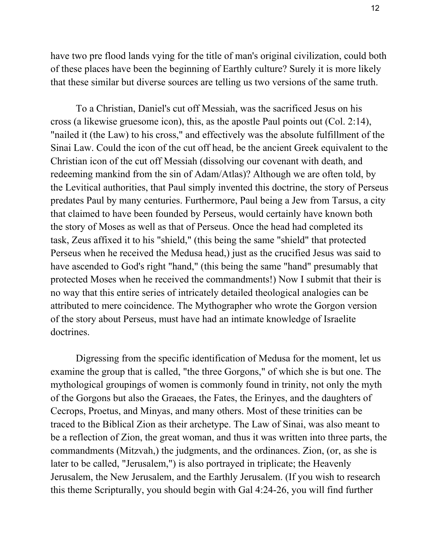have two pre flood lands vying for the title of man's original civilization, could both of these places have been the beginning of Earthly culture? Surely it is more likely that these similar but diverse sources are telling us two versions of the same truth.

To a Christian, Daniel's cut off Messiah, was the sacrificed Jesus on his cross (a likewise gruesome icon), this, as the apostle Paul points out (Col. 2:14), "nailed it (the Law) to his cross," and effectively was the absolute fulfillment of the Sinai Law. Could the icon of the cut off head, be the ancient Greek equivalent to the Christian icon of the cut off Messiah (dissolving our covenant with death, and redeeming mankind from the sin of Adam/Atlas)? Although we are often told, by the Levitical authorities, that Paul simply invented this doctrine, the story of Perseus predates Paul by many centuries. Furthermore, Paul being a Jew from Tarsus, a city that claimed to have been founded by Perseus, would certainly have known both the story of Moses as well as that of Perseus. Once the head had completed its task, Zeus affixed it to his "shield," (this being the same "shield" that protected Perseus when he received the Medusa head,) just as the crucified Jesus was said to have ascended to God's right "hand," (this being the same "hand" presumably that protected Moses when he received the commandments!) Now I submit that their is no way that this entire series of intricately detailed theological analogies can be attributed to mere coincidence. The Mythographer who wrote the Gorgon version of the story about Perseus, must have had an intimate knowledge of Israelite doctrines.

Digressing from the specific identification of Medusa for the moment, let us examine the group that is called, "the three Gorgons," of which she is but one. The mythological groupings of women is commonly found in trinity, not only the myth of the Gorgons but also the Graeaes, the Fates, the Erinyes, and the daughters of Cecrops, Proetus, and Minyas, and many others. Most of these trinities can be traced to the Biblical Zion as their archetype. The Law of Sinai, was also meant to be a reflection of Zion, the great woman, and thus it was written into three parts, the commandments (Mitzvah,) the judgments, and the ordinances. Zion, (or, as she is later to be called, "Jerusalem,") is also portrayed in triplicate; the Heavenly Jerusalem, the New Jerusalem, and the Earthly Jerusalem. (If you wish to research this theme Scripturally, you should begin with Gal 4:2426, you will find further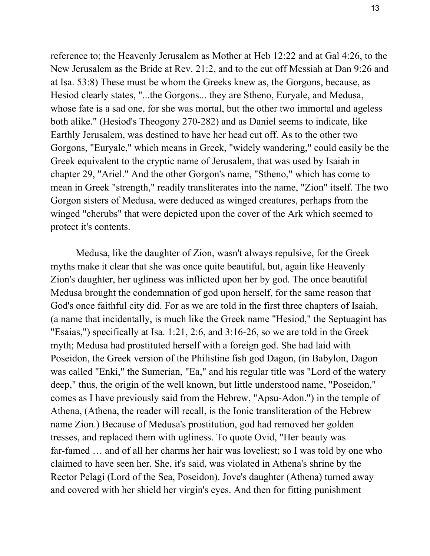reference to; the Heavenly Jerusalem as Mother at Heb 12:22 and at Gal 4:26, to the New Jerusalem as the Bride at Rev. 21:2, and to the cut off Messiah at Dan 9:26 and at Isa. 53:8) These must be whom the Greeks knew as, the Gorgons, because, as Hesiod clearly states, "...the Gorgons... they are Stheno, Euryale, and Medusa, whose fate is a sad one, for she was mortal, but the other two immortal and ageless both alike." (Hesiod's Theogony 270-282) and as Daniel seems to indicate, like Earthly Jerusalem, was destined to have her head cut off. As to the other two Gorgons, "Euryale," which means in Greek, "widely wandering," could easily be the Greek equivalent to the cryptic name of Jerusalem, that was used by Isaiah in chapter 29, "Ariel." And the other Gorgon's name, "Stheno," which has come to mean in Greek "strength," readily transliterates into the name, "Zion" itself. The two Gorgon sisters of Medusa, were deduced as winged creatures, perhaps from the winged "cherubs" that were depicted upon the cover of the Ark which seemed to protect it's contents.

Medusa, like the daughter of Zion, wasn't always repulsive, for the Greek myths make it clear that she was once quite beautiful, but, again like Heavenly Zion's daughter, her ugliness was inflicted upon her by god. The once beautiful Medusa brought the condemnation of god upon herself, for the same reason that God's once faithful city did. For as we are told in the first three chapters of Isaiah, (a name that incidentally, is much like the Greek name "Hesiod," the Septuagint has "Esaias,") specifically at Isa. 1:21, 2:6, and 3:1626, so we are told in the Greek myth; Medusa had prostituted herself with a foreign god. She had laid with Poseidon, the Greek version of the Philistine fish god Dagon, (in Babylon, Dagon was called "Enki," the Sumerian, "Ea," and his regular title was "Lord of the watery deep," thus, the origin of the well known, but little understood name, "Poseidon," comes as I have previously said from the Hebrew, "Apsu-Adon.") in the temple of Athena, (Athena, the reader will recall, is the Ionic transliteration of the Hebrew name Zion.) Because of Medusa's prostitution, god had removed her golden tresses, and replaced them with ugliness. To quote Ovid, "Her beauty was far-famed ... and of all her charms her hair was loveliest; so I was told by one who claimed to have seen her. She, it's said, was violated in Athena's shrine by the Rector Pelagi (Lord of the Sea, Poseidon). Jove's daughter (Athena) turned away and covered with her shield her virgin's eyes. And then for fitting punishment